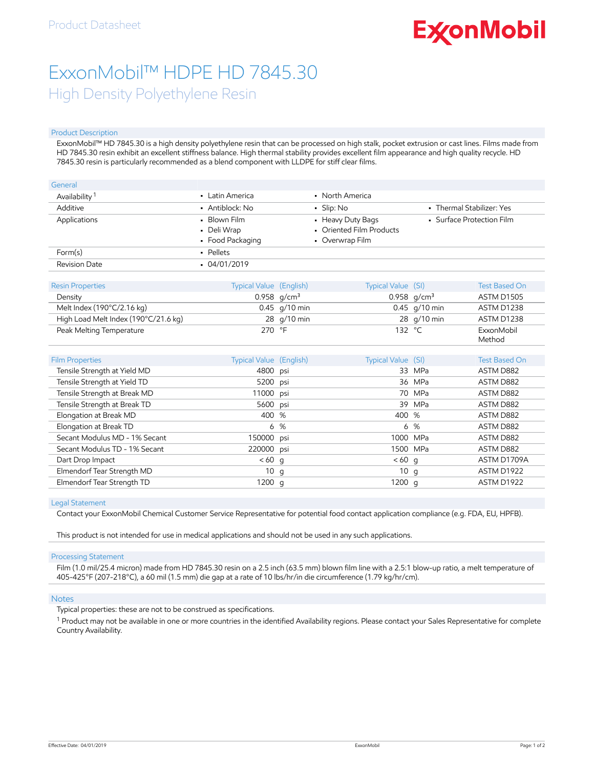# **ExconMobil**

## ExxonMobil™ HDPE HD 7845.30 High Density Polyethylene Resin

#### Product Description

ExxonMobil™ HD 7845.30 is a high density polyethylene resin that can be processed on high stalk, pocket extrusion or cast lines. Films made from HD 7845.30 resin exhibit an excellent stiffness balance. High thermal stability provides excellent film appearance and high quality recycle. HD 7845.30 resin is particularly recommended as a blend component with LLDPE for stiff clear films.

| General                   |                                                 |                                                                  |                           |  |  |  |
|---------------------------|-------------------------------------------------|------------------------------------------------------------------|---------------------------|--|--|--|
| Availability <sup>1</sup> | • Latin America                                 | • North America                                                  |                           |  |  |  |
| Additive                  | • Antiblock: No                                 | $\blacksquare$ Slip: No                                          | • Thermal Stabilizer: Yes |  |  |  |
| Applications              | • Blown Film<br>• Deli Wrap<br>• Food Packaging | • Heavy Duty Bags<br>• Oriented Film Products<br>• Overwrap Film | • Surface Protection Film |  |  |  |
| Form(s)                   | • Pellets                                       |                                                                  |                           |  |  |  |
| Revision Date             | $-04/01/2019$                                   |                                                                  |                           |  |  |  |

| <b>Resin Properties</b>                     | Typical Value (English) | Typical Value (SI) | Test Based On        |
|---------------------------------------------|-------------------------|--------------------|----------------------|
| Density                                     | 0.958 $q/cm^3$          | 0.958 $q/cm^3$     | <b>ASTM D1505</b>    |
| Melt Index $(190^{\circ}C/2.16 \text{ kg})$ | $0.45$ g/10 min         | $0.45$ g/10 min    | ASTM D1238           |
| High Load Melt Index (190°C/21.6 kg)        | 28 g/10 min             | 28 g/10 min        | ASTM D1238           |
| Peak Melting Temperature                    | 270 °F                  | 132 $\degree$ C    | ExxonMobil<br>Method |

| <b>Film Properties</b>        | <b>Typical Value</b> (English) |     | Typical Value (SI) |        | <b>Test Based On</b> |
|-------------------------------|--------------------------------|-----|--------------------|--------|----------------------|
| Tensile Strength at Yield MD  | 4800 psi                       |     |                    | 33 MPa | ASTM D882            |
| Tensile Strength at Yield TD  | 5200 psi                       |     |                    | 36 MPa | ASTM D882            |
| Tensile Strength at Break MD  | 11000 psi                      |     |                    | 70 MPa | ASTM D882            |
| Tensile Strength at Break TD  | 5600 psi                       |     |                    | 39 MPa | ASTM D882            |
| Elongation at Break MD        | 400 %                          |     | 400 %              |        | ASTM D882            |
| Elongation at Break TD        |                                | 6 % |                    | 6 %    | ASTM D882            |
| Secant Modulus MD - 1% Secant | 150000 psi                     |     | 1000 MPa           |        | ASTM D882            |
| Secant Modulus TD - 1% Secant | 220000 psi                     |     | 1500 MPa           |        | ASTM D882            |
| Dart Drop Impact              | $< 60$ q                       |     | $< 60$ q           |        | ASTM D1709A          |
| Elmendorf Tear Strength MD    | 10q                            |     | 10q                |        | ASTM D1922           |
| Elmendorf Tear Strength TD    | 1200 g                         |     | 1200 $q$           |        | ASTM D1922           |

#### Legal Statement

Contact your ExxonMobil Chemical Customer Service Representative for potential food contact application compliance (e.g. FDA, EU, HPFB).

This product is not intended for use in medical applications and should not be used in any such applications.

#### Processing Statement

Film (1.0 mil/25.4 micron) made from HD 7845.30 resin on a 2.5 inch (63.5 mm) blown film line with a 2.5:1 blow-up ratio, a melt temperature of 405-425°F (207-218°C), a 60 mil (1.5 mm) die gap at a rate of 10 lbs/hr/in die circumference (1.79 kg/hr/cm).

#### **Notes**

Typical properties: these are not to be construed as specifications.

<sup>1</sup> Product may not be available in one or more countries in the identified Availability regions. Please contact your Sales Representative for complete Country Availability.